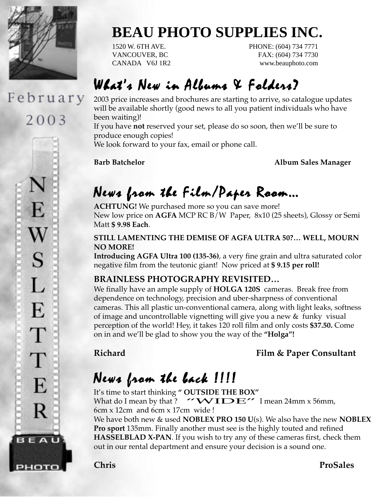

# February

2003

E  $\bf W$ S  $\mathbf{L}$ E T T E R **BEAU** рното

## **BEAU PHOTO SUPPLIES INC.**

1520 W. 6TH AVE. PHONE: (604) 734 7771 VANCOUVER, BC FAX: (604) 734 7730 CANADA V6J 1R2 www.beauphoto.com

### $W$ hat's New in Albums & Folders?

2003 price increases and brochures are starting to arrive, so catalogue updates will be available shortly (good news to all you patient individuals who have been waiting)!

If you have **not** reserved your set, please do so soon, then we'll be sure to produce enough copies!

We look forward to your fax, email or phone call.

**Barb Batchelor Album Sales Manager**

### News from the Film/Paper Room…

**ACHTUNG!** We purchased more so you can save more! New low price on **AGFA** MCP RC B/W Paper, 8x10 (25 sheets), Glossy or Semi Matt **\$ 9.98 Each**.

#### **STILL LAMENTING THE DEMISE OF AGFA ULTRA 50?… WELL, MOURN NO MORE!**

**Introducing AGFA Ultra 100 (135-36)**, a very fine grain and ultra saturated color negative film from the teutonic giant! Now priced at **\$ 9.15 per roll!**

#### **BRAINLESS PHOTOGRAPHY REVISITED…**

We finally have an ample supply of **HOLGA 120S** cameras. Break free from dependence on technology, precision and uber-sharpness of conventional cameras. This all plastic un-conventional camera, along with light leaks, softness of image and uncontrollable vignetting will give you a new & funky visual perception of the world! Hey, it takes 120 roll film and only costs **\$37.50.** Come on in and we'll be glad to show you the way of the **"Holga"!**

**Richard Film & Paper Consultant** 

## News from the back !!!!

It's time to start thinking **" OUTSIDE THE BOX"** What do I mean by that?  $'$  WIDE" I mean 24mm x 56mm, 6cm x 12cm and 6cm x 17cm wide !

We have both new & used **NOBLEX PRO 150 U**(s). We also have the new **NOBLEX Pro sport** 135mm. Finally another must see is the highly touted and refined **HASSELBLAD X-PAN**. If you wish to try any of these cameras first, check them out in our rental department and ensure your decision is a sound one.

**Chris ProSales**